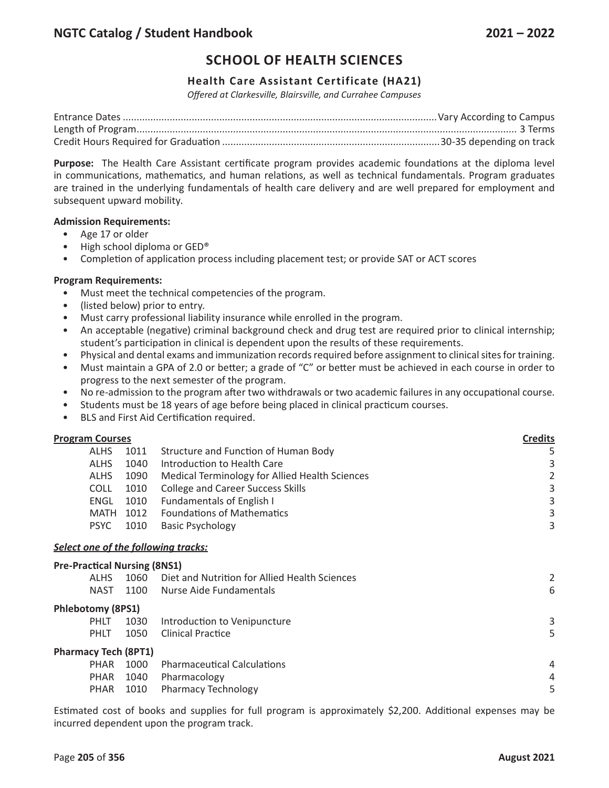# **SCHOOL OF HEALTH SCIENCES**

## **Health Care Assistant Certificate (HA21)**

*Offered at Clarkesville, Blairsville, and Currahee Campuses*

**Purpose:** The Health Care Assistant certificate program provides academic foundations at the diploma level in communications, mathematics, and human relations, as well as technical fundamentals. Program graduates are trained in the underlying fundamentals of health care delivery and are well prepared for employment and subsequent upward mobility.

### **Admission Requirements:**

- Age 17 or older
- High school diploma or GED®
- Completion of application process including placement test; or provide SAT or ACT scores

### **Program Requirements:**

- Must meet the technical competencies of the program.
- (listed below) prior to entry.
- Must carry professional liability insurance while enrolled in the program.
- An acceptable (negative) criminal background check and drug test are required prior to clinical internship; student's participation in clinical is dependent upon the results of these requirements.
- Physical and dental exams and immunization records required before assignment to clinical sites for training.
- Must maintain a GPA of 2.0 or better; a grade of "C" or better must be achieved in each course in order to progress to the next semester of the program.
- No re-admission to the program after two withdrawals or two academic failures in any occupational course.
- Students must be 18 years of age before being placed in clinical practicum courses.
- BLS and First Aid Certification required.

| <b>Program Courses</b> |      |                                                | <b>Credits</b> |
|------------------------|------|------------------------------------------------|----------------|
| <b>ALHS</b>            |      | 1011 Structure and Function of Human Body      | 5              |
| <b>ALHS</b>            | 1040 | Introduction to Health Care                    | 3              |
| <b>ALHS</b>            | 1090 | Medical Terminology for Allied Health Sciences | 2              |
| <b>COLL</b>            | 1010 | <b>College and Career Success Skills</b>       | 3              |
| ENGL                   | 1010 | <b>Fundamentals of English I</b>               | 3              |
| MATH                   |      | 1012 Foundations of Mathematics                | 3              |
| <b>PSYC</b>            | 1010 | <b>Basic Psychology</b>                        | 3              |
|                        |      |                                                |                |

### *Select one of the following tracks:*

|                             | <b>Pre-Practical Nursing (8NS1)</b> |      |                                               |   |  |  |
|-----------------------------|-------------------------------------|------|-----------------------------------------------|---|--|--|
|                             | <b>ALHS</b>                         | 1060 | Diet and Nutrition for Allied Health Sciences | 2 |  |  |
|                             | NAST                                | 1100 | Nurse Aide Fundamentals                       | 6 |  |  |
|                             | <b>Phlebotomy (8PS1)</b>            |      |                                               |   |  |  |
|                             | <b>PHLT</b>                         | 1030 | Introduction to Venipuncture                  | 3 |  |  |
|                             | <b>PHLT</b>                         | 1050 | <b>Clinical Practice</b>                      | 5 |  |  |
| <b>Pharmacy Tech (8PT1)</b> |                                     |      |                                               |   |  |  |
|                             | PHAR                                | 1000 | <b>Pharmaceutical Calculations</b>            | 4 |  |  |
|                             | PHAR                                | 1040 | Pharmacology                                  | 4 |  |  |
|                             | PHAR                                | 1010 | <b>Pharmacy Technology</b>                    | 5 |  |  |

Estimated cost of books and supplies for full program is approximately \$2,200. Additional expenses may be incurred dependent upon the program track.